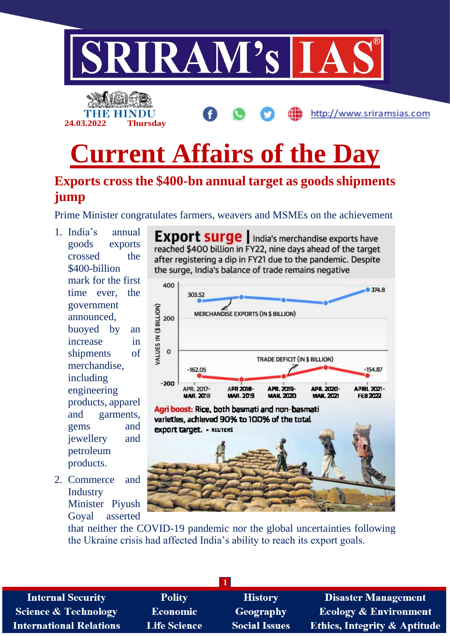

# **jump**

Prime Minister congratulates farmers, weavers and MSMEs on the achievement

- 1. India's annual goods exports crossed the \$400-billion mark for the first time ever, the government announced, buoyed by an increase in shipments of merchandise, including engineering products, apparel and garments, gems and jewellery and petroleum products.
- 2. Commerce and **Industry** Minister Piyush Goyal asserted

**Export surge** | India's merchandise exports have reached \$400 billion in FY22, nine days ahead of the target after registering a dip in FY21 due to the pandemic. Despite the surge, India's balance of trade remains negative



Agri boost: Rice, both basmati and non-basmati varieties, achieved 90% to 100% of the total **export target. - REUTERS** 



that neither the COVID-19 pandemic nor the global uncertainties following the Ukraine crisis had affected India's ability to reach its export goals.

**1**

**Internal Security Science & Technology International Relations** 

**Polity Economic Life Science** 

**History** Geography **Social Issues** 

**Disaster Management Ecology & Environment Ethics, Integrity & Aptitude**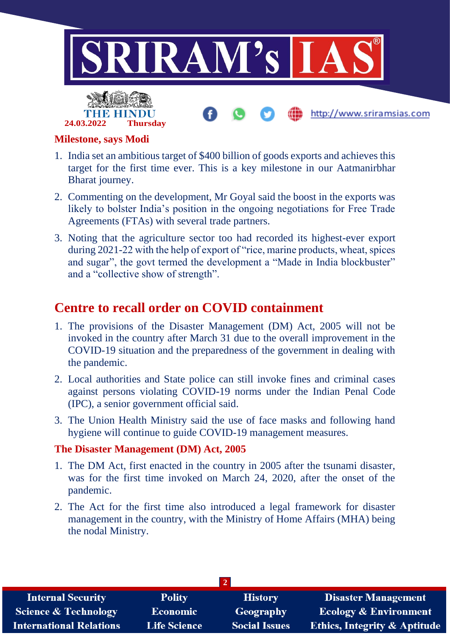

#### **Milestone, says Modi**

- 1. India set an ambitious target of \$400 billion of goods exports and achieves this target for the first time ever. This is a key milestone in our Aatmanirbhar Bharat journey.
- 2. Commenting on the development, Mr Goyal said the boost in the exports was likely to bolster India's position in the ongoing negotiations for Free Trade Agreements (FTAs) with several trade partners.
- 3. Noting that the agriculture sector too had recorded its highest-ever export during 2021-22 with the help of export of "rice, marine products, wheat, spices and sugar", the govt termed the development a "Made in India blockbuster" and a "collective show of strength".

## **Centre to recall order on COVID containment**

- 1. The provisions of the Disaster Management (DM) Act, 2005 will not be invoked in the country after March 31 due to the overall improvement in the COVID-19 situation and the preparedness of the government in dealing with the pandemic.
- 2. Local authorities and State police can still invoke fines and criminal cases against persons violating COVID-19 norms under the Indian Penal Code (IPC), a senior government official said.
- 3. The Union Health Ministry said the use of face masks and following hand hygiene will continue to guide COVID-19 management measures.

#### **The Disaster Management (DM) Act, 2005**

- 1. The DM Act, first enacted in the country in 2005 after the tsunami disaster, was for the first time invoked on March 24, 2020, after the onset of the pandemic.
- 2. The Act for the first time also introduced a legal framework for disaster management in the country, with the Ministry of Home Affairs (MHA) being the nodal Ministry.

| $\overline{2}$                  |                     |                      |                                         |
|---------------------------------|---------------------|----------------------|-----------------------------------------|
| <b>Internal Security</b>        | <b>Polity</b>       | <b>History</b>       | <b>Disaster Management</b>              |
| <b>Science &amp; Technology</b> | <b>Economic</b>     | Geography            | <b>Ecology &amp; Environment</b>        |
| <b>International Relations</b>  | <b>Life Science</b> | <b>Social Issues</b> | <b>Ethics, Integrity &amp; Aptitude</b> |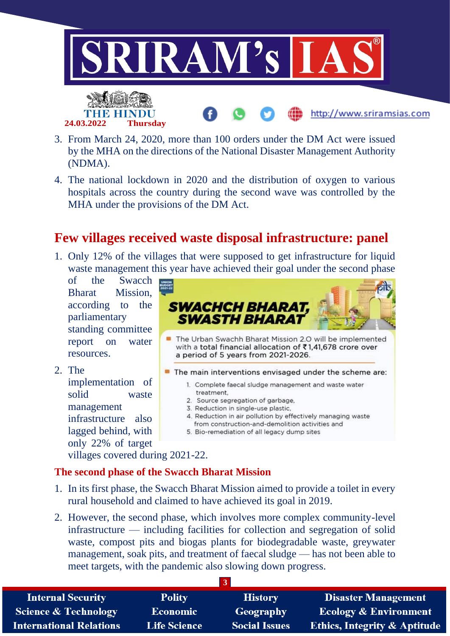

- 3. From March 24, 2020, more than 100 orders under the DM Act were issued by the MHA on the directions of the National Disaster Management Authority (NDMA).
- 4. The national lockdown in 2020 and the distribution of oxygen to various hospitals across the country during the second wave was controlled by the MHA under the provisions of the DM Act.

# **Few villages received waste disposal infrastructure: panel**

1. Only 12% of the villages that were supposed to get infrastructure for liquid waste management this year have achieved their goal under the second phase

of the Swacch Bharat Mission, according to the parliamentary standing committee report on water resources.

2. The

implementation of solid waste management infrastructure also lagged behind, with only 22% of target



villages covered during 2021-22.

### **The second phase of the Swacch Bharat Mission**

- 1. In its first phase, the Swacch Bharat Mission aimed to provide a toilet in every rural household and claimed to have achieved its goal in 2019.
- 2. However, the second phase, which involves more complex community-level infrastructure — including facilities for collection and segregation of solid waste, compost pits and biogas plants for biodegradable waste, greywater management, soak pits, and treatment of faecal sludge — has not been able to meet targets, with the pandemic also slowing down progress.

| <b>Internal Security</b>        | <b>Polity</b>       | <b>History</b>       | <b>Disaster Management</b>              |
|---------------------------------|---------------------|----------------------|-----------------------------------------|
| <b>Science &amp; Technology</b> | <b>Economic</b>     | Geography            | <b>Ecology &amp; Environment</b>        |
| <b>International Relations</b>  | <b>Life Science</b> | <b>Social Issues</b> | <b>Ethics, Integrity &amp; Aptitude</b> |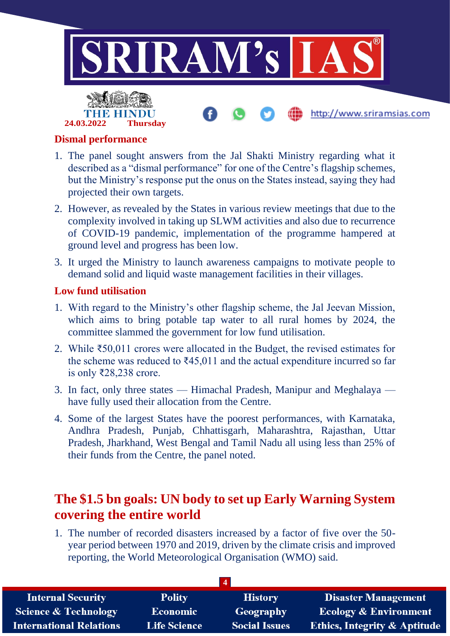

## **Dismal performance**

**24.03.2022 Thursday**

- 1. The panel sought answers from the Jal Shakti Ministry regarding what it described as a "dismal performance" for one of the Centre's flagship schemes, but the Ministry's response put the onus on the States instead, saying they had projected their own targets.
- 2. However, as revealed by the States in various review meetings that due to the complexity involved in taking up SLWM activities and also due to recurrence of COVID-19 pandemic, implementation of the programme hampered at ground level and progress has been low.
- 3. It urged the Ministry to launch awareness campaigns to motivate people to demand solid and liquid waste management facilities in their villages.

#### **Low fund utilisation**

- 1. With regard to the Ministry's other flagship scheme, the Jal Jeevan Mission, which aims to bring potable tap water to all rural homes by 2024, the committee slammed the government for low fund utilisation.
- 2. While ₹50,011 crores were allocated in the Budget, the revised estimates for the scheme was reduced to  $\text{\textsterling}45,011$  and the actual expenditure incurred so far is only ₹28,238 crore.
- 3. In fact, only three states Himachal Pradesh, Manipur and Meghalaya have fully used their allocation from the Centre.
- 4. Some of the largest States have the poorest performances, with Karnataka, Andhra Pradesh, Punjab, Chhattisgarh, Maharashtra, Rajasthan, Uttar Pradesh, Jharkhand, West Bengal and Tamil Nadu all using less than 25% of their funds from the Centre, the panel noted.

## **The \$1.5 bn goals: UN body to set up Early Warning System covering the entire world**

1. The number of recorded disasters increased by a factor of five over the 50 year period between 1970 and 2019, driven by the climate crisis and improved reporting, the World Meteorological Organisation (WMO) said.

| <b>Internal Security</b>        | <b>Polity</b>       | <b>History</b>       | <b>Disaster Management</b>              |
|---------------------------------|---------------------|----------------------|-----------------------------------------|
| <b>Science &amp; Technology</b> | <b>Economic</b>     | Geography            | <b>Ecology &amp; Environment</b>        |
| <b>International Relations</b>  | <b>Life Science</b> | <b>Social Issues</b> | <b>Ethics, Integrity &amp; Aptitude</b> |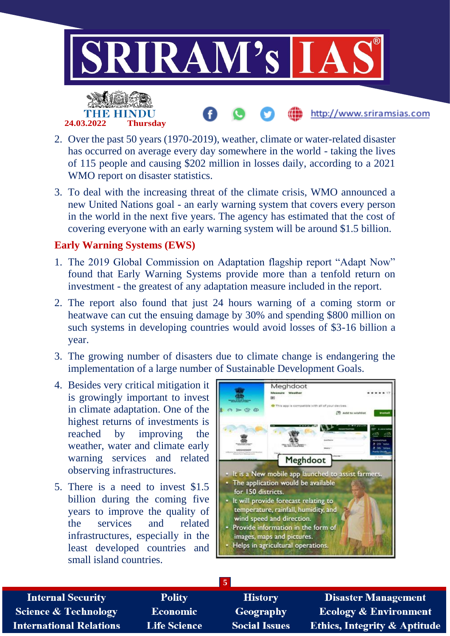

- 2. Over the past 50 years (1970-2019), weather, climate or water-related disaster has occurred on average every day somewhere in the world - taking the lives of 115 people and causing \$202 million in losses daily, according to a 2021 WMO report on disaster statistics.
- 3. To deal with the increasing threat of the climate crisis, WMO announced a new United Nations goal - an early warning system that covers every person in the world in the next five years. The agency has estimated that the cost of covering everyone with an early warning system will be around \$1.5 billion.

#### **Early Warning Systems (EWS)**

- 1. The 2019 Global Commission on Adaptation flagship report "Adapt Now" found that Early Warning Systems provide more than a tenfold return on investment - the greatest of any adaptation measure included in the report.
- 2. The report also found that just 24 hours warning of a coming storm or heatwave can cut the ensuing damage by 30% and spending \$800 million on such systems in developing countries would avoid losses of \$3-16 billion a year.
- 3. The growing number of disasters due to climate change is endangering the implementation of a large number of Sustainable Development Goals.
- 4. Besides very critical mitigation it is growingly important to invest in climate adaptation. One of the highest returns of investments is reached by improving the weather, water and climate early warning services and related observing infrastructures.
- 5. There is a need to invest \$1.5 billion during the coming five years to improve the quality of the services and related infrastructures, especially in the least developed countries and small island countries.



| <b>Internal Security</b>        | <b>Polity</b>       | <b>History</b>       | <b>Disaster Management</b>              |
|---------------------------------|---------------------|----------------------|-----------------------------------------|
| <b>Science &amp; Technology</b> | <b>Economic</b>     | Geography            | <b>Ecology &amp; Environment</b>        |
| <b>International Relations</b>  | <b>Life Science</b> | <b>Social Issues</b> | <b>Ethics, Integrity &amp; Aptitude</b> |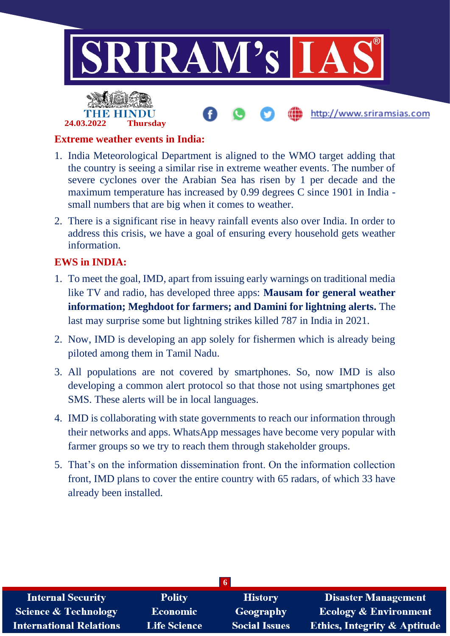

## **Extreme weather events in India:**

**24.03.2022 Thursday**

- 1. India Meteorological Department is aligned to the WMO target adding that the country is seeing a similar rise in extreme weather events. The number of severe cyclones over the Arabian Sea has risen by 1 per decade and the maximum temperature has increased by 0.99 degrees C since 1901 in India small numbers that are big when it comes to weather.
- 2. There is a significant rise in heavy rainfall events also over India. In order to address this crisis, we have a goal of ensuring every household gets weather information.

### **EWS in INDIA:**

- 1. To meet the goal, IMD, apart from issuing early warnings on traditional media like TV and radio, has developed three apps: **Mausam for general weather information; Meghdoot for farmers; and Damini for lightning alerts.** The last may surprise some but lightning strikes killed 787 in India in 2021.
- 2. Now, IMD is developing an app solely for fishermen which is already being piloted among them in Tamil Nadu.
- 3. All populations are not covered by smartphones. So, now IMD is also developing a common alert protocol so that those not using smartphones get SMS. These alerts will be in local languages.
- 4. IMD is collaborating with state governments to reach our information through their networks and apps. WhatsApp messages have become very popular with farmer groups so we try to reach them through stakeholder groups.
- 5. That's on the information dissemination front. On the information collection front, IMD plans to cover the entire country with 65 radars, of which 33 have already been installed.

| <b>Internal Security</b>        | <b>Polity</b>       | <b>History</b>       | <b>Disaster Management</b>              |  |
|---------------------------------|---------------------|----------------------|-----------------------------------------|--|
| <b>Science &amp; Technology</b> | <b>Economic</b>     | Geography            | <b>Ecology &amp; Environment</b>        |  |
| <b>International Relations</b>  | <b>Life Science</b> | <b>Social Issues</b> | <b>Ethics, Integrity &amp; Aptitude</b> |  |